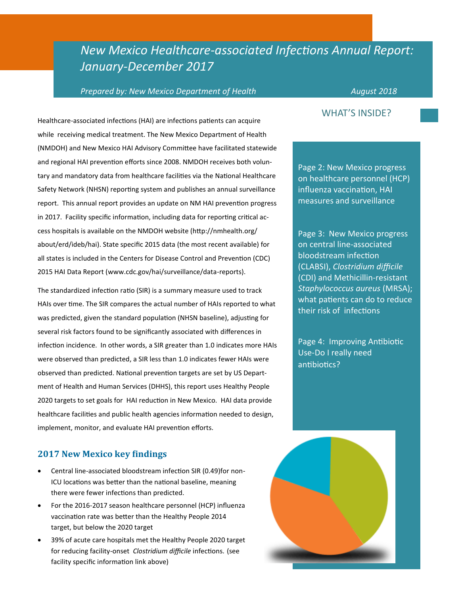## *New Mexico Healthcare-associated Infections Annual Report: January-December 2017*

#### *Prepared by: New Mexico Department of Health* August 2018

Healthcare-associated infections (HAI) are infections patients can acquire while receiving medical treatment. The New Mexico Department of Health (NMDOH) and New Mexico HAI Advisory Committee have facilitated statewide and regional HAI prevention efforts since 2008. NMDOH receives both voluntary and mandatory data from healthcare facilities via the National Healthcare Safety Network (NHSN) reporting system and publishes an annual surveillance report. This annual report provides an update on NM HAI prevention progress in 2017. Facility specific information, including data for reporting critical access hospitals is available on the NMDOH website (http://nmhealth.org/ about/erd/ideb/hai). State specific 2015 data (the most recent available) for all states is included in the Centers for Disease Control and Prevention (CDC) 2015 HAI Data Report (www.cdc.gov/hai/surveillance/data-reports).

The standardized infection ratio (SIR) is a summary measure used to track HAIs over time. The SIR compares the actual number of HAIs reported to what was predicted, given the standard population (NHSN baseline), adjusting for several risk factors found to be significantly associated with differences in infection incidence. In other words, a SIR greater than 1.0 indicates more HAIs were observed than predicted, a SIR less than 1.0 indicates fewer HAIs were observed than predicted. National prevention targets are set by US Department of Health and Human Services (DHHS), this report uses Healthy People 2020 targets to set goals for HAI reduction in New Mexico. HAI data provide healthcare facilities and public health agencies information needed to design, implement, monitor, and evaluate HAI prevention efforts.

#### **2017 New Mexico key findings**

- Central line-associated bloodstream infection SIR (0.49)for non-ICU locations was better than the national baseline, meaning there were fewer infections than predicted.
- For the 2016-2017 season healthcare personnel (HCP) influenza vaccination rate was better than the Healthy People 2014 target, but below the 2020 target
- 39% of acute care hospitals met the Healthy People 2020 target for reducing facility-onset *Clostridium difficile* infections. (see facility specific information link above)

#### WHAT'S INSIDE?

Page 2: New Mexico progress on healthcare personnel (HCP) influenza vaccination, HAI measures and surveillance

Page 3: New Mexico progress on central line-associated bloodstream infection (CLABSI), *Clostridium difficile*  (CDI) and Methicillin-resistant *Staphylococcus aureus* (MRSA); what patients can do to reduce their risk of infections

Page 4: Improving Antibiotic Use-Do I really need antibiotics?

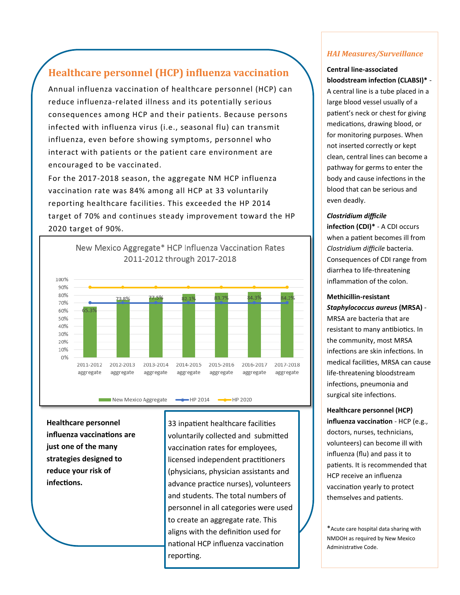### **Healthcare personnel (HCP) influenza vaccination**

Annual influenza vaccination of healthcare personnel (HCP) can reduce influenza-related illness and its potentially serious consequences among HCP and their patients. Because persons infected with influenza virus (i.e., seasonal flu) can transmit influenza, even before showing symptoms, personnel who interact with patients or the patient care environment are encouraged to be vaccinated.

For the 2017-2018 season, the aggregate NM HCP influenza vaccination rate was 84% among all HCP at 33 voluntarily reporting healthcare facilities. This exceeded the HP 2014 target of 70% and continues steady improvement toward the HP 2020 target of 90%.



**Healthcare personnel influenza vaccinations are just one of the many strategies designed to reduce your risk of infections.**

33 inpatient healthcare facilities voluntarily collected and submitted vaccination rates for employees, licensed independent practitioners (physicians, physician assistants and advance practice nurses), volunteers and students. The total numbers of personnel in all categories were used to create an aggregate rate. This aligns with the definition used for national HCP influenza vaccination reporting.

#### *HAI Measures/Surveillance*

#### **Central line-associated bloodstream infection (CLABSI)\*** -

A central line is a tube placed in a large blood vessel usually of a patient's neck or chest for giving medications, drawing blood, or for monitoring purposes. When not inserted correctly or kept clean, central lines can become a pathway for germs to enter the body and cause infections in the blood that can be serious and even deadly.

#### *Clostridium difficile*

**infection (CDI)\*** - A CDI occurs when a patient becomes ill from *Clostridium difficile* bacteria. Consequences of CDI range from diarrhea to life-threatening inflammation of the colon.

#### **Methicillin-resistant**

*Staphylococcus aureus* **(MRSA)** - MRSA are bacteria that are resistant to many antibiotics. In the community, most MRSA infections are skin infections. In medical facilities, MRSA can cause life-threatening bloodstream infections, pneumonia and surgical site infections.

#### **Healthcare personnel (HCP) influenza vaccination** - HCP (e.g., doctors, nurses, technicians, volunteers) can become ill with influenza (flu) and pass it to patients. It is recommended that HCP receive an influenza vaccination yearly to protect themselves and patients.

\*Acute care hospital data sharing with NMDOH as required by New Mexico Administrative Code.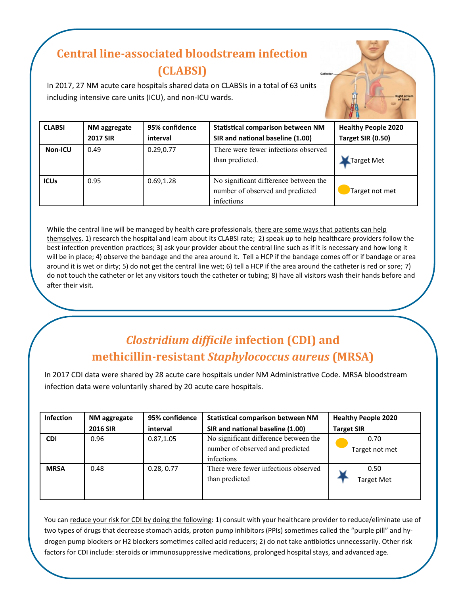## **Central line-associated bloodstream infection (CLABSI)**

In 2017, 27 NM acute care hospitals shared data on CLABSIs in a total of 63 units including intensive care units (ICU), and non-ICU wards.

| <b>CLABSI</b>  | NM aggregate    | 95% confidence | <b>Statistical comparison between NM</b>                                                | <b>Healthy People 2020</b> |
|----------------|-----------------|----------------|-----------------------------------------------------------------------------------------|----------------------------|
|                | <b>2017 SIR</b> | interval       | SIR and national baseline (1.00)                                                        | Target SIR (0.50)          |
| <b>Non-ICU</b> | 0.49            | 0.29,0.77      | There were fewer infections observed<br>than predicted.                                 | Target Met                 |
| <b>ICUs</b>    | 0.95            | 0.69,1.28      | No significant difference between the<br>number of observed and predicted<br>infections | Target not met             |

While the central line will be managed by health care professionals, there are some ways that patients can help themselves. 1) research the hospital and learn about its CLABSI rate; 2) speak up to help healthcare providers follow the best infection prevention practices; 3) ask your provider about the central line such as if it is necessary and how long it will be in place; 4) observe the bandage and the area around it. Tell a HCP if the bandage comes off or if bandage or area around it is wet or dirty; 5) do not get the central line wet; 6) tell a HCP if the area around the catheter is red or sore; 7) do not touch the catheter or let any visitors touch the catheter or tubing; 8) have all visitors wash their hands before and after their visit.

## *Clostridium difficile* **infection (CDI) and methicillin-resistant** *Staphylococcus aureus* **(MRSA)**

In 2017 CDI data were shared by 28 acute care hospitals under NM Administrative Code. MRSA bloodstream infection data were voluntarily shared by 20 acute care hospitals.

| <b>Infection</b> | NM aggregate    | 95% confidence | <b>Statistical comparison between NM</b>                                                | <b>Healthy People 2020</b> |
|------------------|-----------------|----------------|-----------------------------------------------------------------------------------------|----------------------------|
|                  | <b>2016 SIR</b> | interval       | SIR and national baseline (1.00)                                                        | <b>Target SIR</b>          |
| <b>CDI</b>       | 0.96            | 0.87, 1.05     | No significant difference between the<br>number of observed and predicted<br>infections | 0.70<br>Target not met     |
| <b>MRSA</b>      | 0.48            | 0.28, 0.77     | There were fewer infections observed<br>than predicted                                  | 0.50<br><b>Target Met</b>  |

You can reduce your risk for CDI by doing the following: 1) consult with your healthcare provider to reduce/eliminate use of two types of drugs that decrease stomach acids, proton pump inhibitors (PPIs) sometimes called the "purple pill" and hydrogen pump blockers or H2 blockers sometimes called acid reducers; 2) do not take antibiotics unnecessarily. Other risk factors for CDI include: steroids or immunosuppressive medications, prolonged hospital stays, and advanced age.